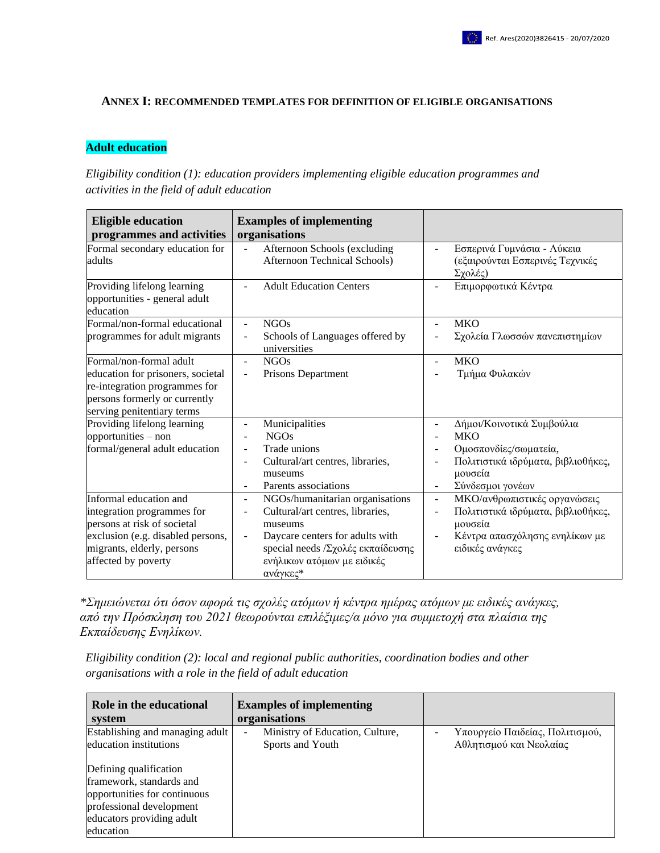## **ANNEX I: RECOMMENDED TEMPLATES FOR DEFINITION OF ELIGIBLE ORGANISATIONS**

## **Adult education**

*Eligibility condition (1): education providers implementing eligible education programmes and activities in the field of adult education*

| <b>Eligible education</b><br>programmes and activities                                                                                                                        | <b>Examples of implementing</b><br>organisations                                                                                                                                                                                                    |                                                                                                                                                      |
|-------------------------------------------------------------------------------------------------------------------------------------------------------------------------------|-----------------------------------------------------------------------------------------------------------------------------------------------------------------------------------------------------------------------------------------------------|------------------------------------------------------------------------------------------------------------------------------------------------------|
| Formal secondary education for<br>adults                                                                                                                                      | Afternoon Schools (excluding<br>$\overline{a}$<br><b>Afternoon Technical Schools)</b>                                                                                                                                                               | Εσπερινά Γυμνάσια - Λύκεια<br>(εξαιρούνται Εσπερινές Τεχνικές<br>Σχολές)                                                                             |
| Providing lifelong learning<br>opportunities - general adult<br>education                                                                                                     | <b>Adult Education Centers</b><br>$\overline{a}$                                                                                                                                                                                                    | Επιμορφωτικά Κέντρα                                                                                                                                  |
| Formal/non-formal educational<br>programmes for adult migrants                                                                                                                | <b>NGOs</b><br>$\overline{a}$<br>Schools of Languages offered by<br>universities                                                                                                                                                                    | <b>MKO</b><br>Σχολεία Γλωσσών πανεπιστημίων                                                                                                          |
| Formal/non-formal adult<br>education for prisoners, societal<br>re-integration programmes for<br>persons formerly or currently<br>serving penitentiary terms                  | NGOs<br>$\qquad \qquad \blacksquare$<br>Prisons Department<br>$\overline{a}$                                                                                                                                                                        | <b>MKO</b><br>Τμήμα Φυλακών                                                                                                                          |
| Providing lifelong learning<br>opportunities - non<br>formal/general adult education                                                                                          | Municipalities<br><b>NGOs</b><br>Trade unions<br>$\overline{a}$<br>Cultural/art centres, libraries,<br>museums<br>Parents associations<br>$\overline{a}$                                                                                            | Δήμοι/Κοινοτικά Συμβούλια<br><b>MKO</b><br>Ομοσπονδίες/σωματεία,<br>Πολιτιστικά ιδρύματα, βιβλιοθήκες,<br>μουσεία<br>Σύνδεσμοι γονέων                |
| Informal education and<br>integration programmes for<br>persons at risk of societal<br>exclusion (e.g. disabled persons,<br>migrants, elderly, persons<br>affected by poverty | NGOs/humanitarian organisations<br>$\qquad \qquad \blacksquare$<br>Cultural/art centres, libraries,<br>museums<br>Daycare centers for adults with<br>$\overline{a}$<br>special needs / Σχολές εκπαίδευσης<br>ενήλικων ατόμων με ειδικές<br>ανάγκες* | ΜΚΟ/ανθρωπιστικές οργανώσεις<br>$\blacksquare$<br>Πολιτιστικά ιδρύματα, βιβλιοθήκες,<br>μουσεία<br>Κέντρα απασχόλησης ενηλίκων με<br>ειδικές ανάγκες |

*\*Σημειώνεται ότι όσον αφορά τις σχολές ατόμων ή κέντρα ημέρας ατόμων με ειδικές ανάγκες, από την Πρόσκληση του 2021 θεωρούνται επιλέξιμες/α μόνο για συμμετοχή στα πλαίσια της Εκπαίδευσης Ενηλίκων.* 

*Eligibility condition (2): local and regional public authorities, coordination bodies and other organisations with a role in the field of adult education*

| Role in the educational<br>system | <b>Examples of implementing</b><br>organisations |                                 |
|-----------------------------------|--------------------------------------------------|---------------------------------|
| Establishing and managing adult   | Ministry of Education, Culture,                  | Υπουργείο Παιδείας, Πολιτισμού, |
| education institutions            | Sports and Youth                                 | Αθλητισμού και Νεολαίας         |
| Defining qualification            |                                                  |                                 |
| framework, standards and          |                                                  |                                 |
| opportunities for continuous      |                                                  |                                 |
| professional development          |                                                  |                                 |
| educators providing adult         |                                                  |                                 |
| education                         |                                                  |                                 |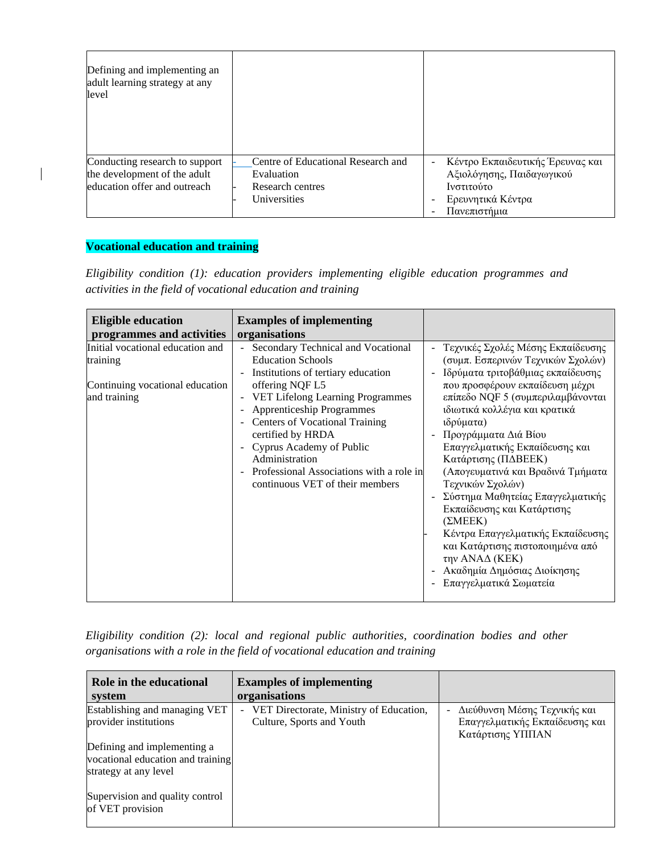| Defining and implementing an<br>adult learning strategy at any<br>level                        |                                                                                      |                                                                                                                  |
|------------------------------------------------------------------------------------------------|--------------------------------------------------------------------------------------|------------------------------------------------------------------------------------------------------------------|
| Conducting research to support<br>the development of the adult<br>education offer and outreach | Centre of Educational Research and<br>Evaluation<br>Research centres<br>Universities | Κέντρο Εκπαιδευτικής Έρευνας και<br>Αξιολόγησης, Παιδαγωγικού<br>Ινστιτούτο<br>Ερευνητικά Κέντρα<br>Πανεπιστήμια |

## **Vocational education and training**

 $\overline{\phantom{a}}$ 

*Eligibility condition (1): education providers implementing eligible education programmes and activities in the field of vocational education and training*

| <b>Eligible education</b><br>programmes and activities                                          | <b>Examples of implementing</b><br>organisations                                                                                                                                                                                                                                                                                                                                                       |                                                                                                                                                                                                                                                                                                                                                                                                                                                                                                                                                                                                                                |
|-------------------------------------------------------------------------------------------------|--------------------------------------------------------------------------------------------------------------------------------------------------------------------------------------------------------------------------------------------------------------------------------------------------------------------------------------------------------------------------------------------------------|--------------------------------------------------------------------------------------------------------------------------------------------------------------------------------------------------------------------------------------------------------------------------------------------------------------------------------------------------------------------------------------------------------------------------------------------------------------------------------------------------------------------------------------------------------------------------------------------------------------------------------|
| Initial vocational education and<br>training<br>Continuing vocational education<br>and training | Secondary Technical and Vocational<br><b>Education Schools</b><br>Institutions of tertiary education<br>offering NQF L5<br>- VET Lifelong Learning Programmes<br><b>Apprenticeship Programmes</b><br><b>Centers of Vocational Training</b><br>certified by HRDA<br>Cyprus Academy of Public<br>$\sim$<br>Administration<br>Professional Associations with a role in<br>continuous VET of their members | Τεχνικές Σχολές Μέσης Εκπαίδευσης<br>$\blacksquare$<br>(συμπ. Εσπερινών Τεχνικών Σχολών)<br>Ιδρύματα τριτοβάθμιας εκπαίδευσης<br>που προσφέρουν εκπαίδευση μέχρι<br>επίπεδο NQF 5 (συμπεριλαμβάνονται<br>ιδιωτικά κολλέγια και κρατικά<br>ιδρύματα)<br>Προγράμματα Διά Βίου<br>Επαγγελματικής Εκπαίδευσης και<br>Κατάρτισης (ΠΔΒΕΕΚ)<br>(Απογευματινά και Βραδινά Τμήματα<br>Τεχνικών Σχολών)<br>Σύστημα Μαθητείας Επαγγελματικής<br>Εκπαίδευσης και Κατάρτισης<br>(2MEEK)<br>Κέντρα Επαγγελματικής Εκπαίδευσης<br>και Κατάρτισης πιστοποιημένα από<br>την ΑΝΑΔ (ΚΕΚ)<br>Ακαδημία Δημόσιας Διοίκησης<br>Επαγγελματικά Σωματεία |

*Eligibility condition (2): local and regional public authorities, coordination bodies and other organisations with a role in the field of vocational education and training*

| Role in the educational<br>system                                                         | <b>Examples of implementing</b><br>organisations                                       |                                                                                         |
|-------------------------------------------------------------------------------------------|----------------------------------------------------------------------------------------|-----------------------------------------------------------------------------------------|
| Establishing and managing VET<br>provider institutions                                    | VET Directorate, Ministry of Education,<br>$\blacksquare$<br>Culture, Sports and Youth | Διεύθυνση Μέσης Τεχνικής και<br>٠<br>Επαγγελματικής Εκπαίδευσης και<br>Κατάρτισης ΥΠΠΑΝ |
| Defining and implementing a<br>vocational education and training<br>strategy at any level |                                                                                        |                                                                                         |
| Supervision and quality control<br>of VET provision                                       |                                                                                        |                                                                                         |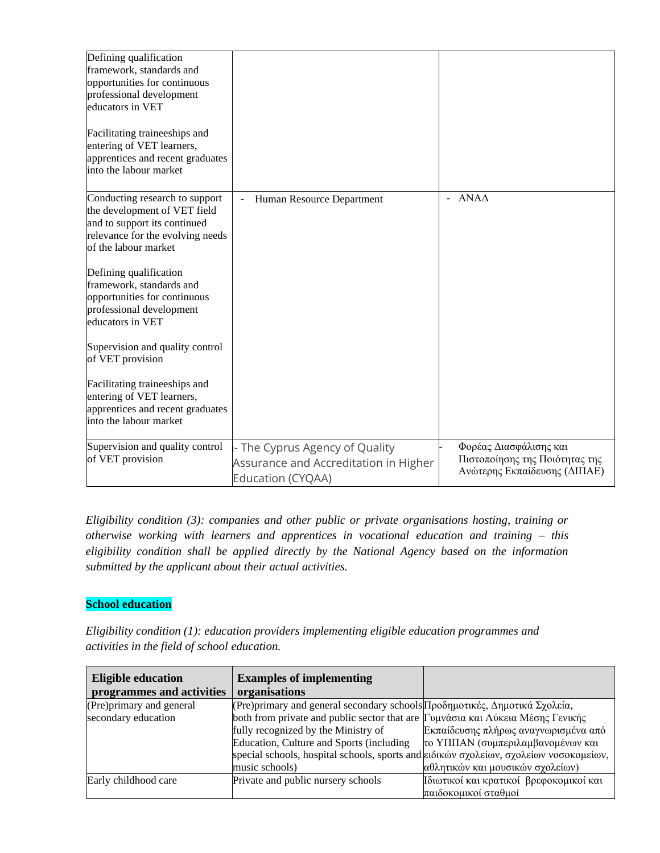| Defining qualification<br>framework, standards and<br>opportunities for continuous<br>professional development<br>educators in VET<br>Facilitating traineeships and<br>entering of VET learners,<br>apprentices and recent graduates<br>into the labour market                                                                                                                                                                                                                      |                                                                                              |                                                                                          |
|-------------------------------------------------------------------------------------------------------------------------------------------------------------------------------------------------------------------------------------------------------------------------------------------------------------------------------------------------------------------------------------------------------------------------------------------------------------------------------------|----------------------------------------------------------------------------------------------|------------------------------------------------------------------------------------------|
| Conducting research to support<br>the development of VET field<br>and to support its continued<br>relevance for the evolving needs<br>of the labour market<br>Defining qualification<br>framework, standards and<br>opportunities for continuous<br>professional development<br>educators in VET<br>Supervision and quality control<br>of VET provision<br>Facilitating traineeships and<br>entering of VET learners,<br>apprentices and recent graduates<br>into the labour market | Human Resource Department                                                                    | - $ANAA$                                                                                 |
| Supervision and quality control<br>of VET provision                                                                                                                                                                                                                                                                                                                                                                                                                                 | - The Cyprus Agency of Quality<br>Assurance and Accreditation in Higher<br>Education (CYQAA) | Φορέας Διασφάλισης και<br>Πιστοποίησης της Ποιότητας της<br>Ανώτερης Εκπαίδευσης (ΔΙΠΑΕ) |

*Eligibility condition (3): companies and other public or private organisations hosting, training or otherwise working with learners and apprentices in vocational education and training – this eligibility condition shall be applied directly by the National Agency based on the information submitted by the applicant about their actual activities.*

## **School education**

*Eligibility condition (1): education providers implementing eligible education programmes and activities in the field of school education.*

| <b>Eligible education</b> | <b>Examples of implementing</b>                                                       |                                         |
|---------------------------|---------------------------------------------------------------------------------------|-----------------------------------------|
| programmes and activities | organisations                                                                         |                                         |
| (Pre)primary and general  | (Pre) primary and general secondary schools Προδημοτικές, Δημοτικά Σχολεία,           |                                         |
| secondary education       | both from private and public sector that are Γυμνάσια και Λύκεια Μέσης Γενικής        |                                         |
|                           | fully recognized by the Ministry of                                                   | Εκπαίδευσης πλήρως αναγνωρισμένα από    |
|                           | Education, Culture and Sports (including                                              | το ΥΠΠΑΝ (συμπεριλαμβανομένων και       |
|                           | special schools, hospital schools, sports and ειδικών σχολείων, σχολείων νοσοκομείων, |                                         |
|                           | music schools)                                                                        | αθλητικών και μουσικών σχολείων)        |
| Early childhood care      | Private and public nursery schools                                                    | Ιδιωτικοί και κρατικοί βρεφοκομικοί και |
|                           |                                                                                       | παιδοκομικοί σταθμοί                    |